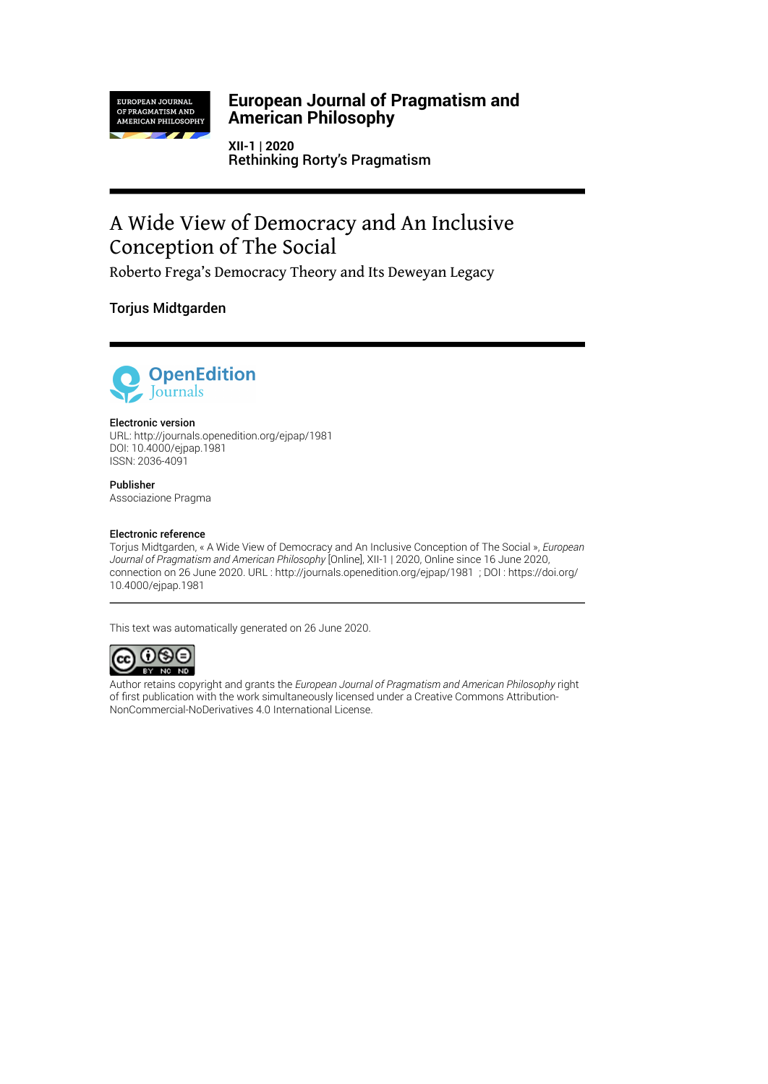

### **European Journal of Pragmatism and American Philosophy**

**XII-1 | 2020** Rethinking Rorty's Pragmatism

# A Wide View of Democracy and An Inclusive Conception of The Social

Roberto Frega's Democracy Theory and Its Deweyan Legacy

Torjus Midtgarden



#### Electronic version

URL:<http://journals.openedition.org/ejpap/1981> DOI: 10.4000/ejpap.1981 ISSN: 2036-4091

Publisher Associazione Pragma

#### Electronic reference

Torjus Midtgarden, « A Wide View of Democracy and An Inclusive Conception of The Social », *European Journal of Pragmatism and American Philosophy* [Online], XII-1 | 2020, Online since 16 June 2020, connection on 26 June 2020. URL : http://journals.openedition.org/ejpap/1981 ; DOI : https://doi.org/ 10.4000/ejpap.1981

This text was automatically generated on 26 June 2020.



Author retains copyright and grants the *European Journal of Pragmatism and American Philosophy* right of first publication with the work simultaneously licensed under a [Creative Commons Attribution-](http://creativecommons.org/licenses/by-nc-nd/4.0/)[NonCommercial-NoDerivatives 4.0 International License](http://creativecommons.org/licenses/by-nc-nd/4.0/).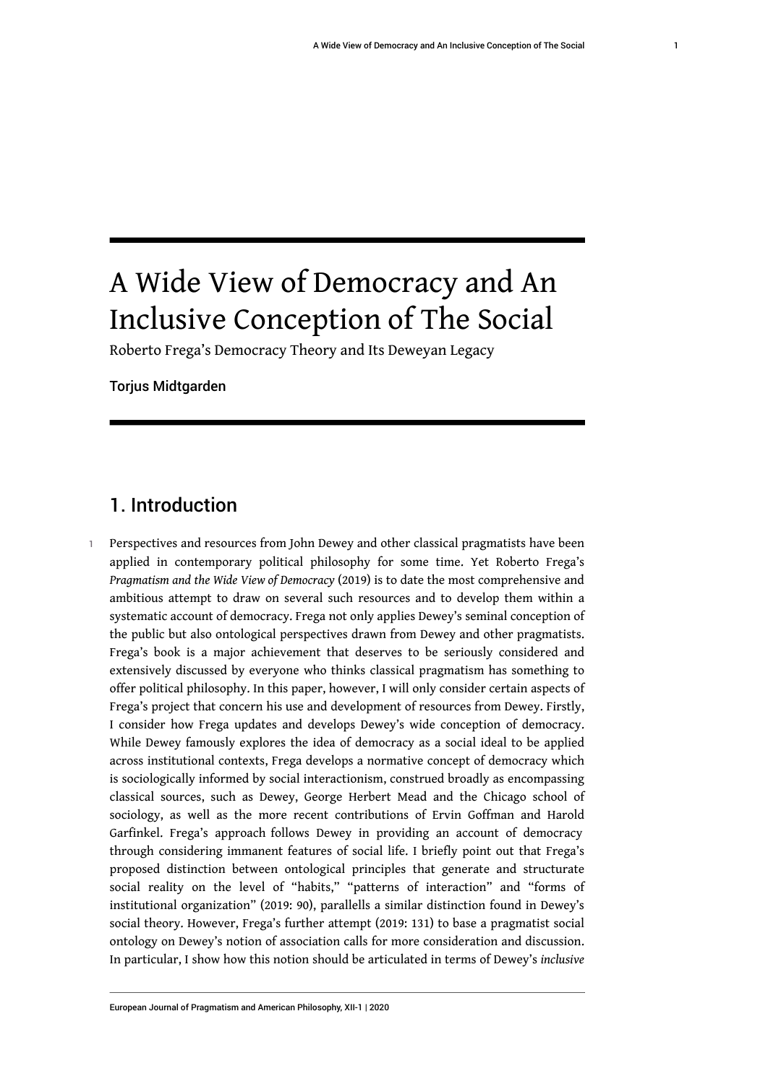# A Wide View of Democracy and An Inclusive Conception of The Social

Roberto Frega's Democracy Theory and Its Deweyan Legacy

Torjus Midtgarden

### 1. Introduction

1 Perspectives and resources from John Dewey and other classical pragmatists have been applied in contemporary political philosophy for some time. Yet Roberto Frega's *Pragmatism and the Wide View of Democracy* (2019) is to date the most comprehensive and ambitious attempt to draw on several such resources and to develop them within a systematic account of democracy. Frega not only applies Dewey's seminal conception of the public but also ontological perspectives drawn from Dewey and other pragmatists. Frega's book is a major achievement that deserves to be seriously considered and extensively discussed by everyone who thinks classical pragmatism has something to offer political philosophy. In this paper, however, I will only consider certain aspects of Frega's project that concern his use and development of resources from Dewey. Firstly, I consider how Frega updates and develops Dewey's wide conception of democracy. While Dewey famously explores the idea of democracy as a social ideal to be applied across institutional contexts, Frega develops a normative concept of democracy which is sociologically informed by social interactionism, construed broadly as encompassing classical sources, such as Dewey, George Herbert Mead and the Chicago school of sociology, as well as the more recent contributions of Ervin Goffman and Harold Garfinkel. Frega's approach follows Dewey in providing an account of democracy through considering immanent features of social life. I briefly point out that Frega's proposed distinction between ontological principles that generate and structurate social reality on the level of "habits," "patterns of interaction" and "forms of institutional organization" (2019: 90), parallells a similar distinction found in Dewey's social theory. However, Frega's further attempt (2019: 131) to base a pragmatist social ontology on Dewey's notion of association calls for more consideration and discussion. In particular, I show how this notion should be articulated in terms of Dewey's *inclusive*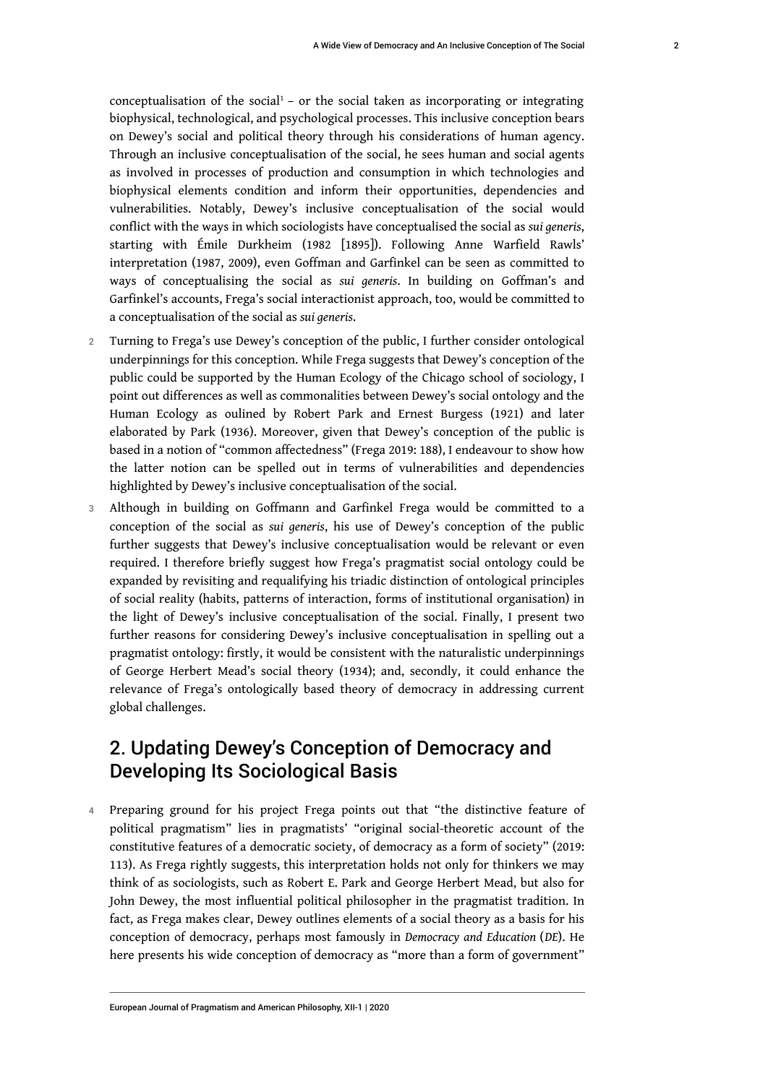Through an inclusive conceptualisation of the social, he sees human and social agents as involved in processes of production and consumption in which technologies and biophysical elements condition and inform their opportunities, dependencies and vulnerabilities. Notably, Dewey's inclusive conceptualisation of the social would conflict with the ways in which sociologists have conceptualised the social as *sui generis*, starting with Émile Durkheim (1982 [1895]). Following Anne Warfield Rawls' interpretation (1987, 2009), even Goffman and Garfinkel can be seen as committed to ways of conceptualising the social as *sui generis*. In building on Goffman's and Garfinkel's accounts, Frega's social interactionist approach, too, would be committed to a conceptualisation of the social as *sui generis*.

- 2 Turning to Frega's use Dewey's conception of the public, I further consider ontological underpinnings for this conception. While Frega suggests that Dewey's conception of the public could be supported by the Human Ecology of the Chicago school of sociology, I point out differences as well as commonalities between Dewey's social ontology and the Human Ecology as oulined by Robert Park and Ernest Burgess (1921) and later elaborated by Park (1936). Moreover, given that Dewey's conception of the public is based in a notion of "common affectedness" (Frega 2019: 188), I endeavour to show how the latter notion can be spelled out in terms of vulnerabilities and dependencies highlighted by Dewey's inclusive conceptualisation of the social.
- 3 Although in building on Goffmann and Garfinkel Frega would be committed to a conception of the social as *sui generis*, his use of Dewey's conception of the public further suggests that Dewey's inclusive conceptualisation would be relevant or even required. I therefore briefly suggest how Frega's pragmatist social ontology could be expanded by revisiting and requalifying his triadic distinction of ontological principles of social reality (habits, patterns of interaction, forms of institutional organisation) in the light of Dewey's inclusive conceptualisation of the social. Finally, I present two further reasons for considering Dewey's inclusive conceptualisation in spelling out a pragmatist ontology: firstly, it would be consistent with the naturalistic underpinnings of George Herbert Mead's social theory (1934); and, secondly, it could enhance the relevance of Frega's ontologically based theory of democracy in addressing current global challenges.

## 2. Updating Dewey's Conception of Democracy and Developing Its Sociological Basis

4 Preparing ground for his project Frega points out that "the distinctive feature of political pragmatism" lies in pragmatists' "original social-theoretic account of the constitutive features of a democratic society, of democracy as a form of society" (2019: 113). As Frega rightly suggests, this interpretation holds not only for thinkers we may think of as sociologists, such as Robert E. Park and George Herbert Mead, but also for John Dewey, the most influential political philosopher in the pragmatist tradition. In fact, as Frega makes clear, Dewey outlines elements of a social theory as a basis for his conception of democracy, perhaps most famously in *Democracy and Education* (*DE*). He here presents his wide conception of democracy as "more than a form of government"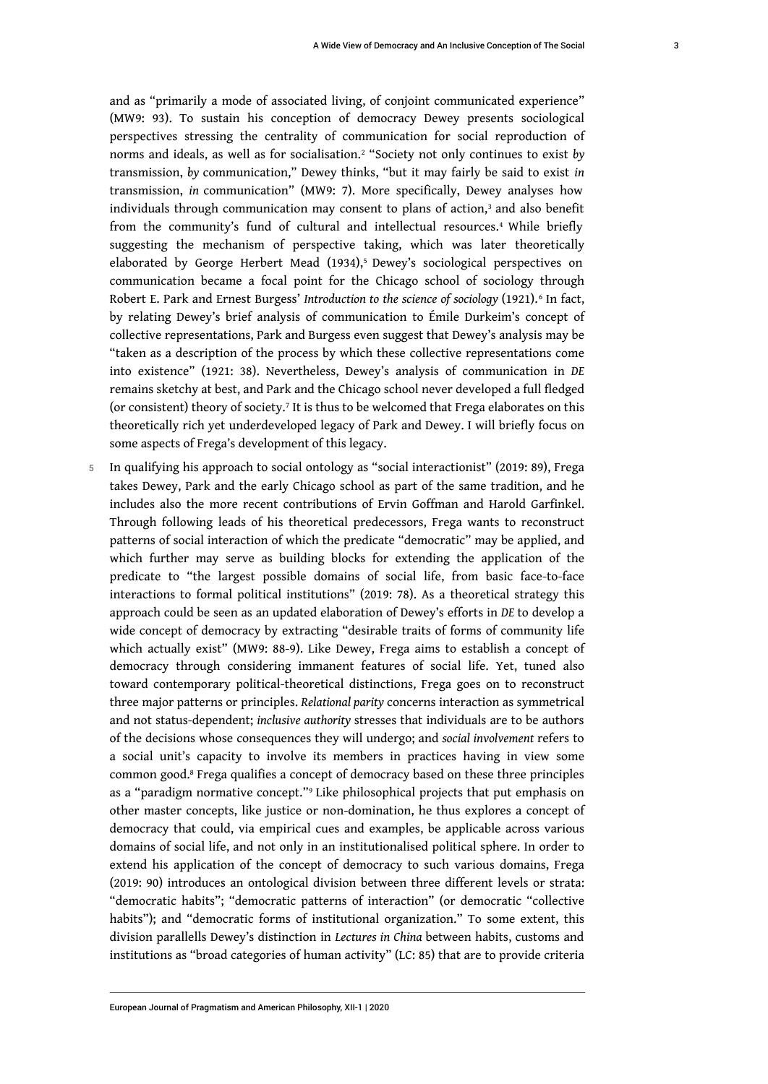and as "primarily a mode of associated living, of conjoint communicated experience" (MW9: 93). To sustain his conception of democracy Dewey presents sociological perspectives stressing the centrality of communication for social reproduction of norms and ideals, as well as for socialisation.<sup>2</sup> "Society not only continues to exist *by* transmission, *by* communication," Dewey thinks, "but it may fairly be said to exist *in* transmission, *in* communication" (MW9: 7). More specifically, Dewey analyses how individuals through communication may consent to plans of action, $^3$  and also benefit from the community's fund of cultural and intellectual resources.<sup>4</sup> While briefly suggesting the mechanism of perspective taking, which was later theoretically elaborated by George Herbert Mead (1934),<sup>5</sup> Dewey's sociological perspectives on communication became a focal point for the Chicago school of sociology through Robert E. Park and Ernest Burgess' *Introduction to the science of sociology* (1921).<sup>6</sup> In fact, by relating Dewey's brief analysis of communication to Émile Durkeim's concept of collective representations, Park and Burgess even suggest that Dewey's analysis may be "taken as a description of the process by which these collective representations come into existence" (1921: 38). Nevertheless, Dewey's analysis of communication in *DE* remains sketchy at best, and Park and the Chicago school never developed a full fledged (or consistent) theory of society.<sup>7</sup> It is thus to be welcomed that Frega elaborates on this theoretically rich yet underdeveloped legacy of Park and Dewey. I will briefly focus on some aspects of Frega's development of this legacy.

5 In qualifying his approach to social ontology as "social interactionist" (2019: 89), Frega takes Dewey, Park and the early Chicago school as part of the same tradition, and he includes also the more recent contributions of Ervin Goffman and Harold Garfinkel. Through following leads of his theoretical predecessors, Frega wants to reconstruct patterns of social interaction of which the predicate "democratic" may be applied, and which further may serve as building blocks for extending the application of the predicate to "the largest possible domains of social life, from basic face-to-face interactions to formal political institutions" (2019: 78). As a theoretical strategy this approach could be seen as an updated elaboration of Dewey's efforts in *DE* to develop a wide concept of democracy by extracting "desirable traits of forms of community life which actually exist" (MW9: 88-9). Like Dewey, Frega aims to establish a concept of democracy through considering immanent features of social life. Yet, tuned also toward contemporary political-theoretical distinctions, Frega goes on to reconstruct three major patterns or principles. *Relational parity* concerns interaction as symmetrical and not status-dependent; *inclusive authority* stresses that individuals are to be authors of the decisions whose consequences they will undergo; and *social involvement* refers to a social unit's capacity to involve its members in practices having in view some common good.<sup>8</sup> Frega qualifies a concept of democracy based on these three principles as a "paradigm normative concept."<sup>9</sup> Like philosophical projects that put emphasis on other master concepts, like justice or non-domination, he thus explores a concept of democracy that could, via empirical cues and examples, be applicable across various domains of social life, and not only in an institutionalised political sphere. In order to extend his application of the concept of democracy to such various domains, Frega (2019: 90) introduces an ontological division between three different levels or strata: "democratic habits"; "democratic patterns of interaction" (or democratic "collective habits"); and "democratic forms of institutional organization." To some extent, this division parallells Dewey's distinction in *Lectures in China* between habits, customs and institutions as "broad categories of human activity" (LC: 85) that are to provide criteria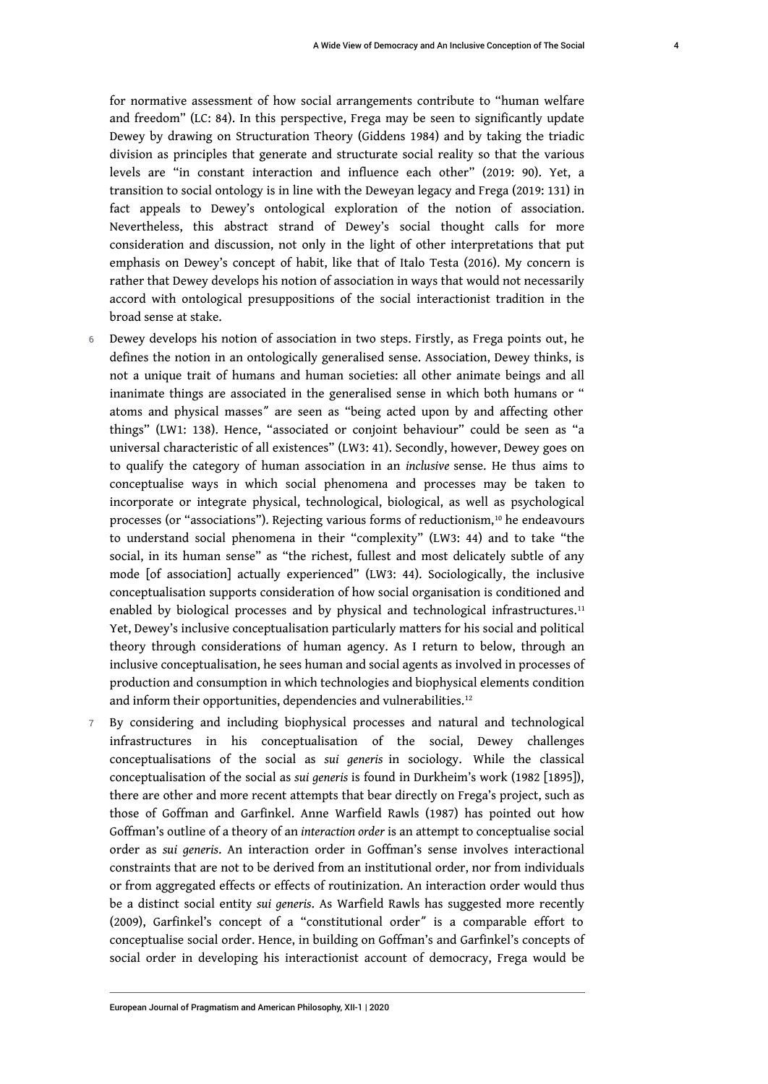for normative assessment of how social arrangements contribute to "human welfare and freedom" (LC: 84). In this perspective, Frega may be seen to significantly update Dewey by drawing on Structuration Theory (Giddens 1984) and by taking the triadic division as principles that generate and structurate social reality so that the various levels are "in constant interaction and influence each other" (2019: 90). Yet, a transition to social ontology is in line with the Deweyan legacy and Frega (2019: 131) in fact appeals to Dewey's ontological exploration of the notion of association. Nevertheless, this abstract strand of Dewey's social thought calls for more consideration and discussion, not only in the light of other interpretations that put emphasis on Dewey's concept of habit, like that of Italo Testa (2016). My concern is rather that Dewey develops his notion of association in ways that would not necessarily accord with ontological presuppositions of the social interactionist tradition in the broad sense at stake.

- 6 Dewey develops his notion of association in two steps. Firstly, as Frega points out, he defines the notion in an ontologically generalised sense. Association, Dewey thinks, is not a unique trait of humans and human societies: all other animate beings and all inanimate things are associated in the generalised sense in which both humans or " atoms and physical masses" are seen as "being acted upon by and affecting other things" (LW1: 138). Hence, "associated or conjoint behaviour" could be seen as "a universal characteristic of all existences" (LW3: 41). Secondly, however, Dewey goes on to qualify the category of human association in an *inclusive* sense. He thus aims to conceptualise ways in which social phenomena and processes may be taken to incorporate or integrate physical, technological, biological, as well as psychological processes (or "associations"). Rejecting various forms of reductionism,<sup>10</sup> he endeavours to understand social phenomena in their "complexity" (LW3: 44) and to take "the social, in its human sense" as "the richest, fullest and most delicately subtle of any mode [of association] actually experienced" (LW3: 44). Sociologically, the inclusive conceptualisation supports consideration of how social organisation is conditioned and enabled by biological processes and by physical and technological infrastructures.<sup>11</sup> Yet, Dewey's inclusive conceptualisation particularly matters for his social and political theory through considerations of human agency. As I return to below, through an inclusive conceptualisation, he sees human and social agents as involved in processes of production and consumption in which technologies and biophysical elements condition and inform their opportunities, dependencies and vulnerabilities.<sup>12</sup>
- 7 By considering and including biophysical processes and natural and technological infrastructures in his conceptualisation of the social, Dewey challenges conceptualisations of the social as *sui generis* in sociology. While the classical conceptualisation of the social as *sui generis* is found in Durkheim's work (1982 [1895]), there are other and more recent attempts that bear directly on Frega's project, such as those of Goffman and Garfinkel. Anne Warfield Rawls (1987) has pointed out how Goffman's outline of a theory of an *interaction order* is an attempt to conceptualise social order as *sui generis*. An interaction order in Goffman's sense involves interactional constraints that are not to be derived from an institutional order, nor from individuals or from aggregated effects or effects of routinization. An interaction order would thus be a distinct social entity *sui generis*. As Warfield Rawls has suggested more recently (2009), Garfinkel's concept of a "constitutional order" is a comparable effort to conceptualise social order. Hence, in building on Goffman's and Garfinkel's concepts of social order in developing his interactionist account of democracy, Frega would be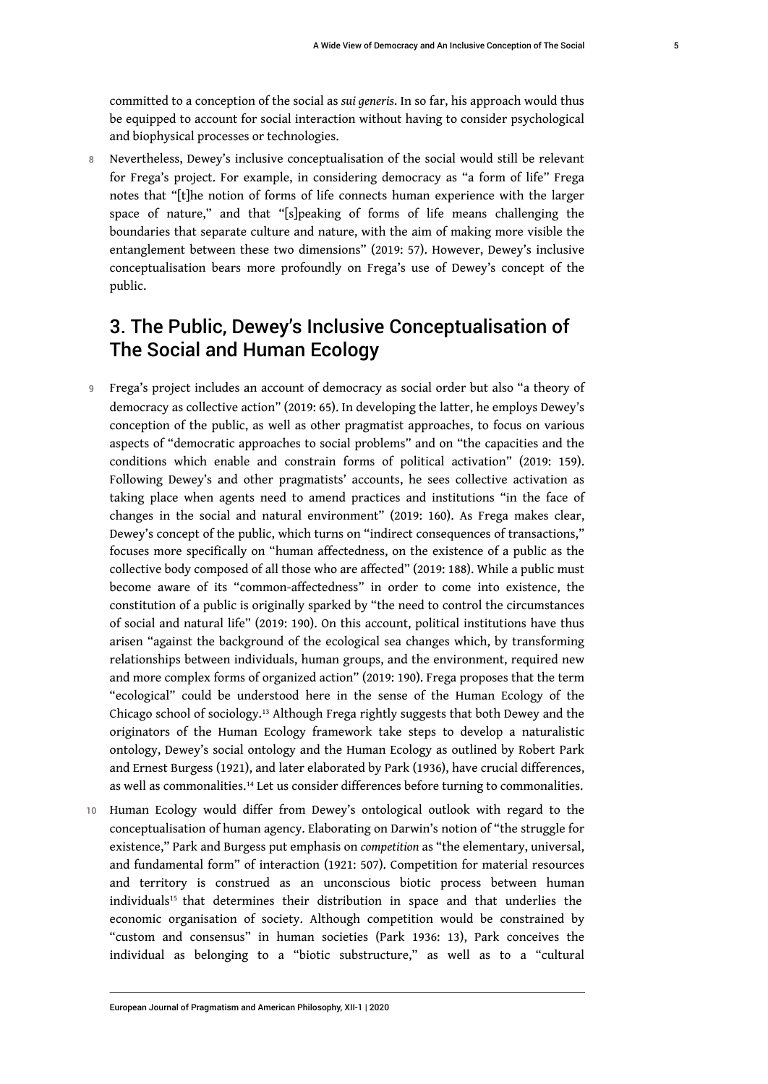committed to a conception of the social as *sui generis*. In so far, his approach would thus be equipped to account for social interaction without having to consider psychological and biophysical processes or technologies.

8 Nevertheless, Dewey's inclusive conceptualisation of the social would still be relevant for Frega's project. For example, in considering democracy as "a form of life" Frega notes that "[t]he notion of forms of life connects human experience with the larger space of nature," and that "[s]peaking of forms of life means challenging the boundaries that separate culture and nature, with the aim of making more visible the entanglement between these two dimensions" (2019: 57). However, Dewey's inclusive conceptualisation bears more profoundly on Frega's use of Dewey's concept of the public.

# 3. The Public, Dewey's Inclusive Conceptualisation of The Social and Human Ecology

- 9 Frega's project includes an account of democracy as social order but also "a theory of democracy as collective action" (2019: 65). In developing the latter, he employs Dewey's conception of the public, as well as other pragmatist approaches, to focus on various aspects of "democratic approaches to social problems" and on "the capacities and the conditions which enable and constrain forms of political activation" (2019: 159). Following Dewey's and other pragmatists' accounts, he sees collective activation as taking place when agents need to amend practices and institutions "in the face of changes in the social and natural environment" (2019: 160). As Frega makes clear, Dewey's concept of the public, which turns on "indirect consequences of transactions," focuses more specifically on "human affectedness, on the existence of a public as the collective body composed of all those who are affected" (2019: 188). While a public must become aware of its "common-affectedness" in order to come into existence, the constitution of a public is originally sparked by "the need to control the circumstances of social and natural life" (2019: 190). On this account, political institutions have thus arisen "against the background of the ecological sea changes which, by transforming relationships between individuals, human groups, and the environment, required new and more complex forms of organized action" (2019: 190). Frega proposes that the term "ecological" could be understood here in the sense of the Human Ecology of the Chicago school of sociology.13 Although Frega rightly suggests that both Dewey and the originators of the Human Ecology framework take steps to develop a naturalistic ontology, Dewey's social ontology and the Human Ecology as outlined by Robert Park and Ernest Burgess (1921), and later elaborated by Park (1936), have crucial differences, as well as commonalities.14 Let us consider differences before turning to commonalities.
- 10 Human Ecology would differ from Dewey's ontological outlook with regard to the conceptualisation of human agency. Elaborating on Darwin's notion of "the struggle for existence," Park and Burgess put emphasis on *competition* as "the elementary, universal, and fundamental form" of interaction (1921: 507). Competition for material resources and territory is construed as an unconscious biotic process between human individuals<sup>15</sup> that determines their distribution in space and that underlies the economic organisation of society. Although competition would be constrained by "custom and consensus" in human societies (Park 1936: 13), Park conceives the individual as belonging to a "biotic substructure," as well as to a "cultural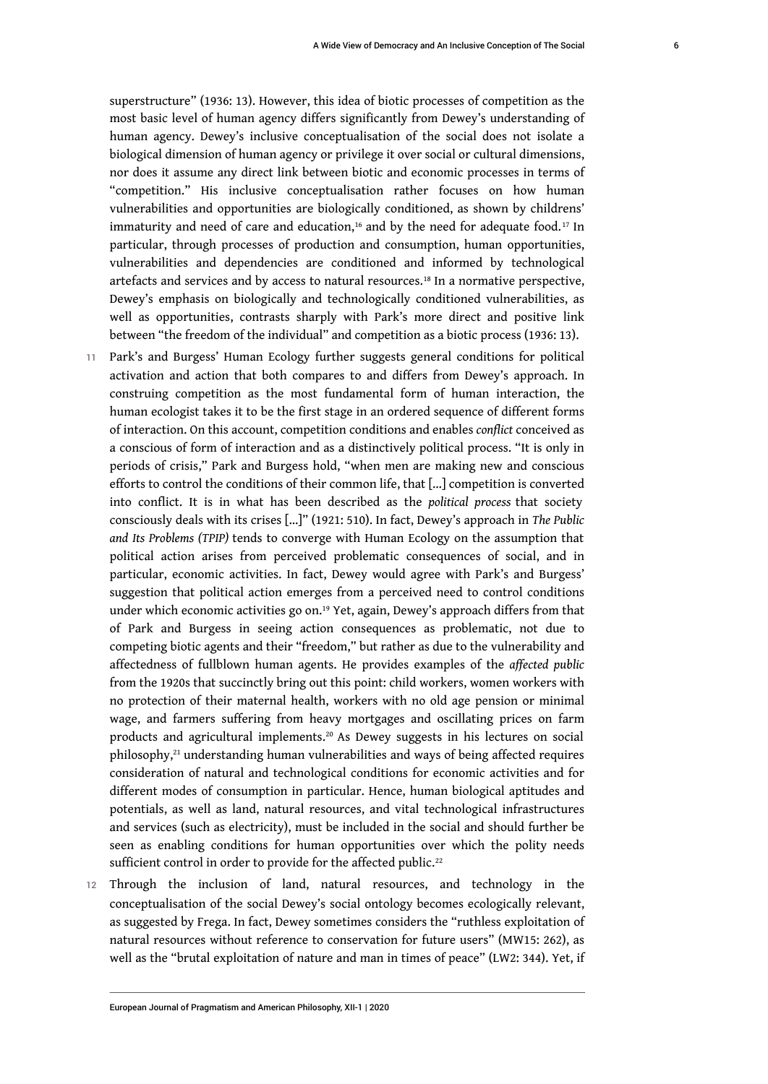superstructure" (1936: 13). However, this idea of biotic processes of competition as the most basic level of human agency differs significantly from Dewey's understanding of human agency. Dewey's inclusive conceptualisation of the social does not isolate a biological dimension of human agency or privilege it over social or cultural dimensions, nor does it assume any direct link between biotic and economic processes in terms of "competition." His inclusive conceptualisation rather focuses on how human vulnerabilities and opportunities are biologically conditioned, as shown by childrens' immaturity and need of care and education,<sup>16</sup> and by the need for adequate food.<sup>17</sup> In particular, through processes of production and consumption, human opportunities, vulnerabilities and dependencies are conditioned and informed by technological artefacts and services and by access to natural resources.<sup>18</sup> In a normative perspective, Dewey's emphasis on biologically and technologically conditioned vulnerabilities, as well as opportunities, contrasts sharply with Park's more direct and positive link between "the freedom of the individual" and competition as a biotic process (1936: 13).

- 11 Park's and Burgess' Human Ecology further suggests general conditions for political activation and action that both compares to and differs from Dewey's approach. In construing competition as the most fundamental form of human interaction, the human ecologist takes it to be the first stage in an ordered sequence of different forms of interaction. On this account, competition conditions and enables *conflict* conceived as a conscious of form of interaction and as a distinctively political process. "It is only in periods of crisis," Park and Burgess hold, "when men are making new and conscious efforts to control the conditions of their common life, that […] competition is converted into conflict. It is in what has been described as the *political process* that society consciously deals with its crises […]" (1921: 510). In fact, Dewey's approach in *The Public and Its Problems (TPIP)* tends to converge with Human Ecology on the assumption that political action arises from perceived problematic consequences of social, and in particular, economic activities. In fact, Dewey would agree with Park's and Burgess' suggestion that political action emerges from a perceived need to control conditions under which economic activities go on.<sup>19</sup> Yet, again, Dewey's approach differs from that of Park and Burgess in seeing action consequences as problematic, not due to competing biotic agents and their "freedom," but rather as due to the vulnerability and affectedness of fullblown human agents. He provides examples of the *affected public* from the 1920s that succinctly bring out this point: child workers, women workers with no protection of their maternal health, workers with no old age pension or minimal wage, and farmers suffering from heavy mortgages and oscillating prices on farm products and agricultural implements.20 As Dewey suggests in his lectures on social philosophy,21 understanding human vulnerabilities and ways of being affected requires consideration of natural and technological conditions for economic activities and for different modes of consumption in particular. Hence, human biological aptitudes and potentials, as well as land, natural resources, and vital technological infrastructures and services (such as electricity), must be included in the social and should further be seen as enabling conditions for human opportunities over which the polity needs sufficient control in order to provide for the affected public.<sup>22</sup>
- 12 Through the inclusion of land, natural resources, and technology in the conceptualisation of the social Dewey's social ontology becomes ecologically relevant, as suggested by Frega. In fact, Dewey sometimes considers the "ruthless exploitation of natural resources without reference to conservation for future users" (MW15: 262), as well as the "brutal exploitation of nature and man in times of peace" (LW2: 344). Yet, if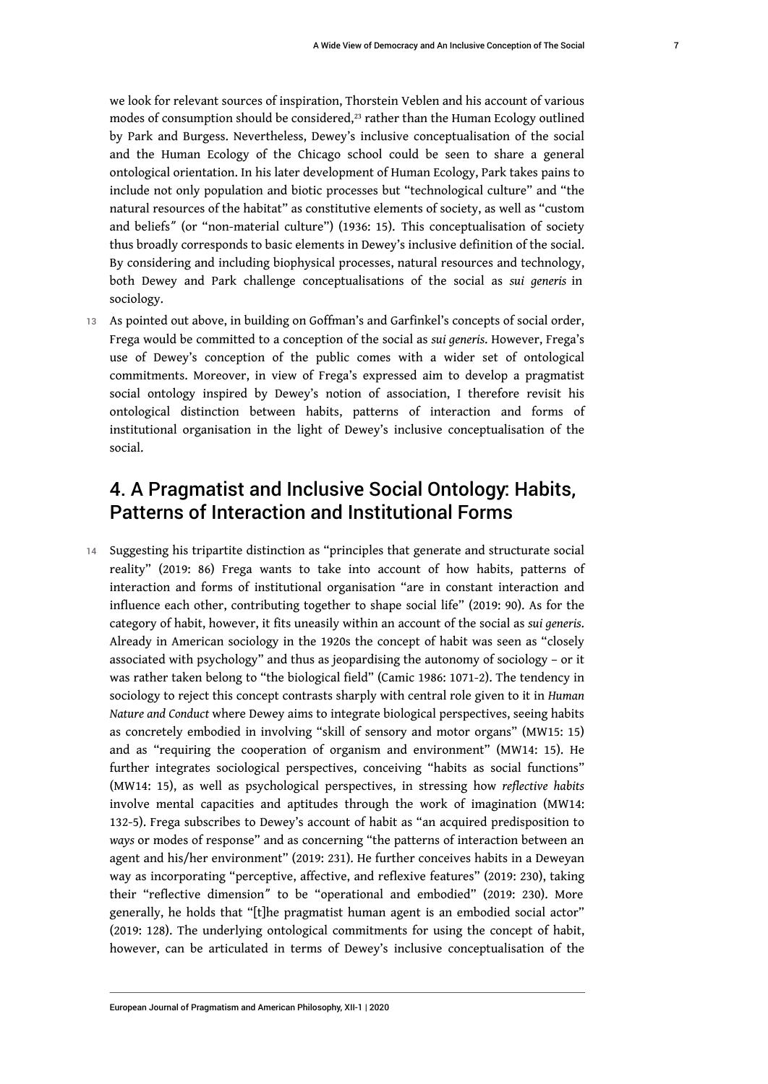7

we look for relevant sources of inspiration, Thorstein Veblen and his account of various modes of consumption should be considered, $^{23}$  rather than the Human Ecology outlined by Park and Burgess. Nevertheless, Dewey's inclusive conceptualisation of the social and the Human Ecology of the Chicago school could be seen to share a general ontological orientation. In his later development of Human Ecology, Park takes pains to include not only population and biotic processes but "technological culture" and "the natural resources of the habitat" as constitutive elements of society, as well as "custom and beliefsˮ (or "non-material culture") (1936: 15). This conceptualisation of society thus broadly corresponds to basic elements in Dewey's inclusive definition of the social. By considering and including biophysical processes, natural resources and technology, both Dewey and Park challenge conceptualisations of the social as *sui generis* in sociology.

13 As pointed out above, in building on Goffman's and Garfinkel's concepts of social order, Frega would be committed to a conception of the social as *sui generis*. However, Frega's use of Dewey's conception of the public comes with a wider set of ontological commitments. Moreover, in view of Frega's expressed aim to develop a pragmatist social ontology inspired by Dewey's notion of association, I therefore revisit his ontological distinction between habits, patterns of interaction and forms of institutional organisation in the light of Dewey's inclusive conceptualisation of the social.

# 4. A Pragmatist and Inclusive Social Ontology: Habits, Patterns of Interaction and Institutional Forms

14 Suggesting his tripartite distinction as "principles that generate and structurate social reality" (2019: 86) Frega wants to take into account of how habits, patterns of interaction and forms of institutional organisation "are in constant interaction and influence each other, contributing together to shape social life" (2019: 90). As for the category of habit, however, it fits uneasily within an account of the social as *sui generis*. Already in American sociology in the 1920s the concept of habit was seen as "closely associated with psychology" and thus as jeopardising the autonomy of sociology – or it was rather taken belong to "the biological field" (Camic 1986: 1071-2). The tendency in sociology to reject this concept contrasts sharply with central role given to it in *Human Nature and Conduct* where Dewey aims to integrate biological perspectives, seeing habits as concretely embodied in involving "skill of sensory and motor organs" (MW15: 15) and as "requiring the cooperation of organism and environment" (MW14: 15). He further integrates sociological perspectives, conceiving "habits as social functions" (MW14: 15), as well as psychological perspectives, in stressing how *reflective habits* involve mental capacities and aptitudes through the work of imagination (MW14: 132-5). Frega subscribes to Dewey's account of habit as "an acquired predisposition to *ways* or modes of response" and as concerning "the patterns of interaction between an agent and his/her environment" (2019: 231). He further conceives habits in a Deweyan way as incorporating "perceptive, affective, and reflexive features" (2019: 230), taking their "reflective dimension" to be "operational and embodied" (2019: 230). More generally, he holds that "[t]he pragmatist human agent is an embodied social actor" (2019: 128). The underlying ontological commitments for using the concept of habit, however, can be articulated in terms of Dewey's inclusive conceptualisation of the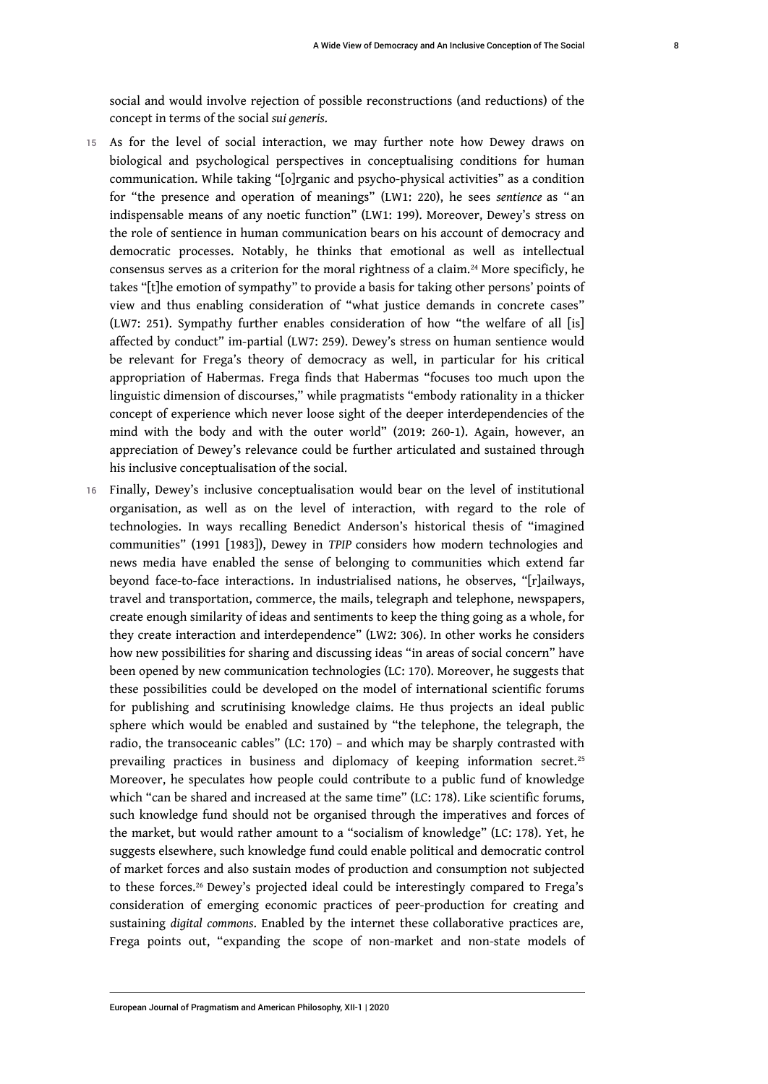social and would involve rejection of possible reconstructions (and reductions) of the concept in terms of the social *sui generis*.

- 15 As for the level of social interaction, we may further note how Dewey draws on biological and psychological perspectives in conceptualising conditions for human communication. While taking "[o]rganic and psycho-physical activities" as a condition for "the presence and operation of meanings" (LW1: 220), he sees *sentience* as "an indispensable means of any noetic function" (LW1: 199). Moreover, Dewey's stress on the role of sentience in human communication bears on his account of democracy and democratic processes. Notably, he thinks that emotional as well as intellectual consensus serves as a criterion for the moral rightness of a claim.<sup>24</sup> More specificly, he takes "[t]he emotion of sympathy" to provide a basis for taking other persons' points of view and thus enabling consideration of "what justice demands in concrete cases" (LW7: 251). Sympathy further enables consideration of how "the welfare of all [is] affected by conduct" im-partial (LW7: 259). Dewey's stress on human sentience would be relevant for Frega's theory of democracy as well, in particular for his critical appropriation of Habermas. Frega finds that Habermas "focuses too much upon the linguistic dimension of discourses," while pragmatists "embody rationality in a thicker concept of experience which never loose sight of the deeper interdependencies of the mind with the body and with the outer world" (2019: 260-1). Again, however, an appreciation of Dewey's relevance could be further articulated and sustained through his inclusive conceptualisation of the social.
- 16 Finally, Dewey's inclusive conceptualisation would bear on the level of institutional organisation, as well as on the level of interaction, with regard to the role of technologies. In ways recalling Benedict Anderson's historical thesis of "imagined communities" (1991 [1983]), Dewey in *TPIP* considers how modern technologies and news media have enabled the sense of belonging to communities which extend far beyond face-to-face interactions. In industrialised nations, he observes, "[r]ailways, travel and transportation, commerce, the mails, telegraph and telephone, newspapers, create enough similarity of ideas and sentiments to keep the thing going as a whole, for they create interaction and interdependence" (LW2: 306). In other works he considers how new possibilities for sharing and discussing ideas "in areas of social concern" have been opened by new communication technologies (LC: 170). Moreover, he suggests that these possibilities could be developed on the model of international scientific forums for publishing and scrutinising knowledge claims. He thus projects an ideal public sphere which would be enabled and sustained by "the telephone, the telegraph, the radio, the transoceanic cables" (LC: 170) – and which may be sharply contrasted with prevailing practices in business and diplomacy of keeping information secret.<sup>25</sup> Moreover, he speculates how people could contribute to a public fund of knowledge which "can be shared and increased at the same time" (LC: 178). Like scientific forums, such knowledge fund should not be organised through the imperatives and forces of the market, but would rather amount to a "socialism of knowledge" (LC: 178). Yet, he suggests elsewhere, such knowledge fund could enable political and democratic control of market forces and also sustain modes of production and consumption not subjected to these forces.<sup>26</sup> Dewey's projected ideal could be interestingly compared to Frega's consideration of emerging economic practices of peer-production for creating and sustaining *digital commons*. Enabled by the internet these collaborative practices are, Frega points out, "expanding the scope of non-market and non-state models of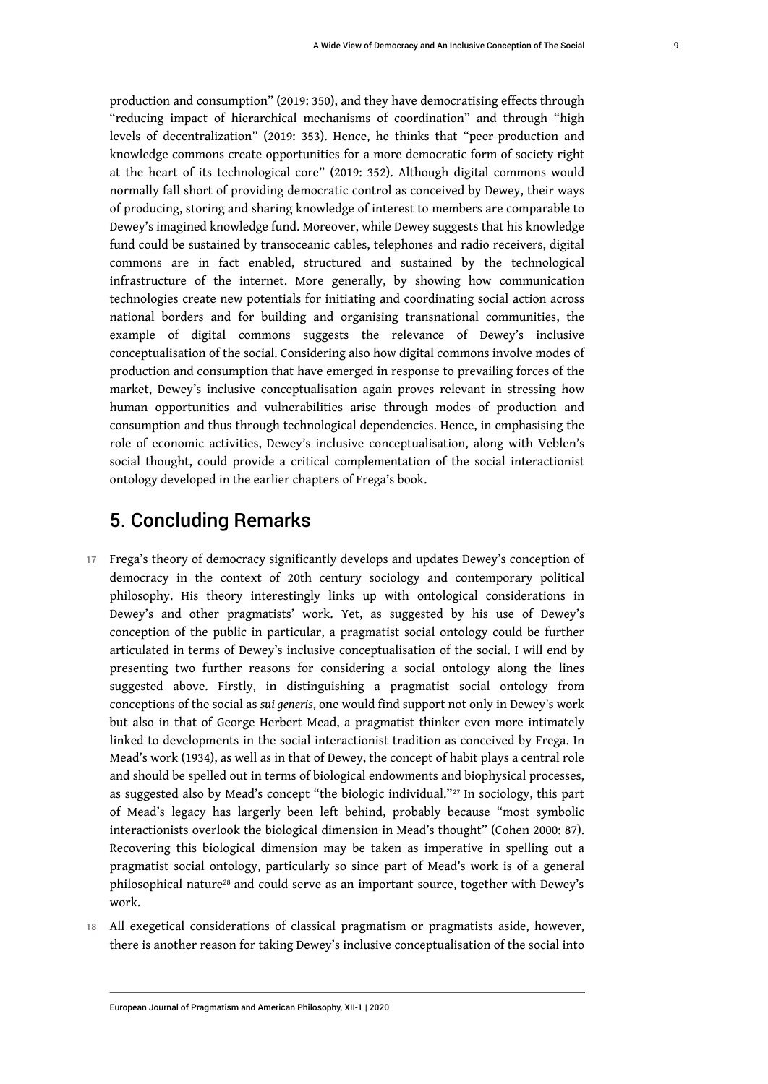production and consumption" (2019: 350), and they have democratising effects through "reducing impact of hierarchical mechanisms of coordination" and through "high levels of decentralization" (2019: 353). Hence, he thinks that "peer-production and knowledge commons create opportunities for a more democratic form of society right at the heart of its technological core" (2019: 352). Although digital commons would normally fall short of providing democratic control as conceived by Dewey, their ways of producing, storing and sharing knowledge of interest to members are comparable to Dewey's imagined knowledge fund. Moreover, while Dewey suggests that his knowledge fund could be sustained by transoceanic cables, telephones and radio receivers, digital commons are in fact enabled, structured and sustained by the technological infrastructure of the internet. More generally, by showing how communication technologies create new potentials for initiating and coordinating social action across national borders and for building and organising transnational communities, the example of digital commons suggests the relevance of Dewey's inclusive conceptualisation of the social. Considering also how digital commons involve modes of production and consumption that have emerged in response to prevailing forces of the market, Dewey's inclusive conceptualisation again proves relevant in stressing how human opportunities and vulnerabilities arise through modes of production and consumption and thus through technological dependencies. Hence, in emphasising the role of economic activities, Dewey's inclusive conceptualisation, along with Veblen's social thought, could provide a critical complementation of the social interactionist ontology developed in the earlier chapters of Frega's book.

### 5. Concluding Remarks

- 17 Frega's theory of democracy significantly develops and updates Dewey's conception of democracy in the context of 20th century sociology and contemporary political philosophy. His theory interestingly links up with ontological considerations in Dewey's and other pragmatists' work. Yet, as suggested by his use of Dewey's conception of the public in particular, a pragmatist social ontology could be further articulated in terms of Dewey's inclusive conceptualisation of the social. I will end by presenting two further reasons for considering a social ontology along the lines suggested above. Firstly, in distinguishing a pragmatist social ontology from conceptions of the social as *sui generis*, one would find support not only in Dewey's work but also in that of George Herbert Mead, a pragmatist thinker even more intimately linked to developments in the social interactionist tradition as conceived by Frega. In Mead's work (1934), as well as in that of Dewey, the concept of habit plays a central role and should be spelled out in terms of biological endowments and biophysical processes, as suggested also by Mead's concept "the biologic individual."27 In sociology, this part of Mead's legacy has largerly been left behind, probably because "most symbolic interactionists overlook the biological dimension in Mead's thought" (Cohen 2000: 87). Recovering this biological dimension may be taken as imperative in spelling out a pragmatist social ontology, particularly so since part of Mead's work is of a general philosophical nature28 and could serve as an important source, together with Dewey's work.
- 18 All exegetical considerations of classical pragmatism or pragmatists aside, however, there is another reason for taking Dewey's inclusive conceptualisation of the social into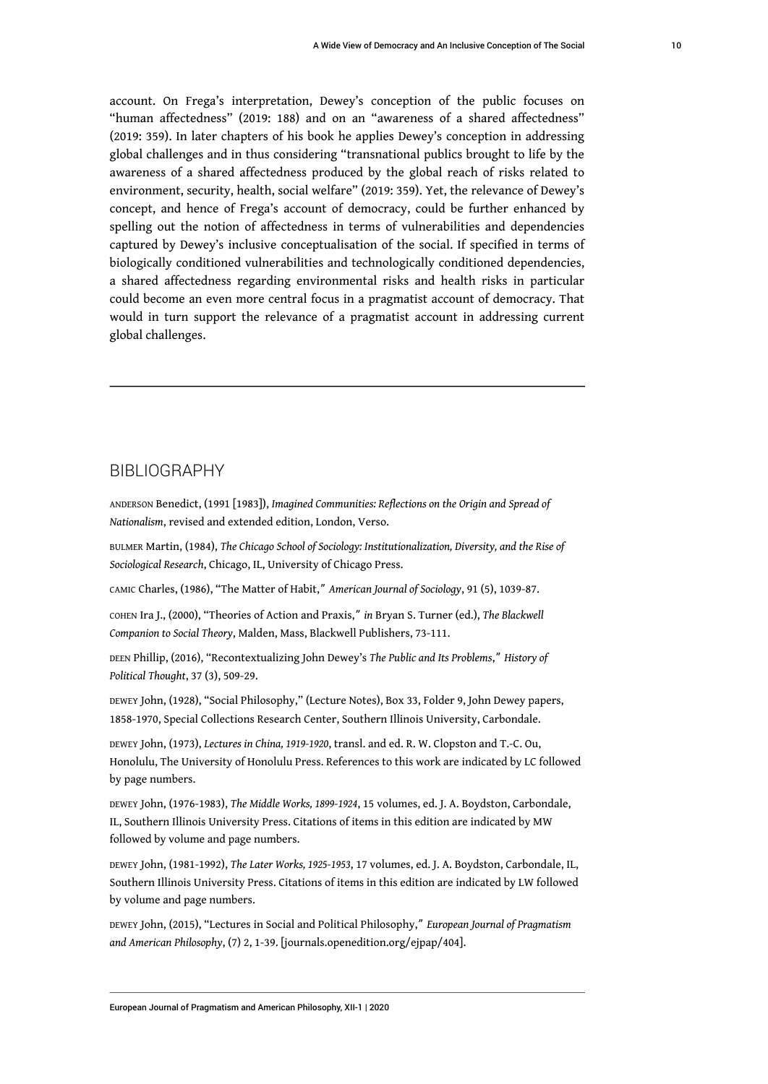account. On Frega's interpretation, Dewey's conception of the public focuses on "human affectedness" (2019: 188) and on an "awareness of a shared affectedness" (2019: 359). In later chapters of his book he applies Dewey's conception in addressing global challenges and in thus considering "transnational publics brought to life by the awareness of a shared affectedness produced by the global reach of risks related to environment, security, health, social welfare" (2019: 359). Yet, the relevance of Dewey's concept, and hence of Frega's account of democracy, could be further enhanced by spelling out the notion of affectedness in terms of vulnerabilities and dependencies captured by Dewey's inclusive conceptualisation of the social. If specified in terms of biologically conditioned vulnerabilities and technologically conditioned dependencies, a shared affectedness regarding environmental risks and health risks in particular could become an even more central focus in a pragmatist account of democracy. That would in turn support the relevance of a pragmatist account in addressing current global challenges.

### BIBLIOGRAPHY

ANDERSON Benedict, (1991 [1983]), *Imagined Communities: Reflections on the Origin and Spread of Nationalism*, revised and extended edition, London, Verso.

BULMER Martin, (1984), *The Chicago School of Sociology: Institutionalization, Diversity, and the Rise of Sociological Research*, Chicago, IL, University of Chicago Press.

CAMIC Charles, (1986), "The Matter of Habit,ˮ *American Journal of Sociology*, 91 (5), 1039-87.

COHEN Ira J., (2000), "Theories of Action and Praxis,ˮ *in* Bryan S. Turner (ed.), *The Blackwell Companion to Social Theory*, Malden, Mass, Blackwell Publishers, 73-111.

DEEN Phillip, (2016), "Recontextualizing John Dewey's *The Public and Its Problems*,ˮ *History of Political Thought*, 37 (3), 509-29.

DEWEY John, (1928), "Social Philosophy," (Lecture Notes), Box 33, Folder 9, John Dewey papers, 1858-1970, Special Collections Research Center, Southern Illinois University, Carbondale.

DEWEY John, (1973), *Lectures in China, 1919-1920*, transl. and ed. R. W. Clopston and T.-C. Ou, Honolulu, The University of Honolulu Press. References to this work are indicated by LC followed by page numbers.

DEWEY John, (1976-1983), *The Middle Works, 1899-1924*, 15 volumes, ed. J. A. Boydston, Carbondale, IL, Southern Illinois University Press. Citations of items in this edition are indicated by MW followed by volume and page numbers.

DEWEY John, (1981-1992), *The Later Works, 1925-1953*, 17 volumes, ed. J. A. Boydston, Carbondale, IL, Southern Illinois University Press. Citations of items in this edition are indicated by LW followed by volume and page numbers.

DEWEY John, (2015), "Lectures in Social and Political Philosophy,ˮ *European Journal of Pragmatism and American Philosophy*, (7) 2, 1-39. [journals.openedition.org/ejpap/404].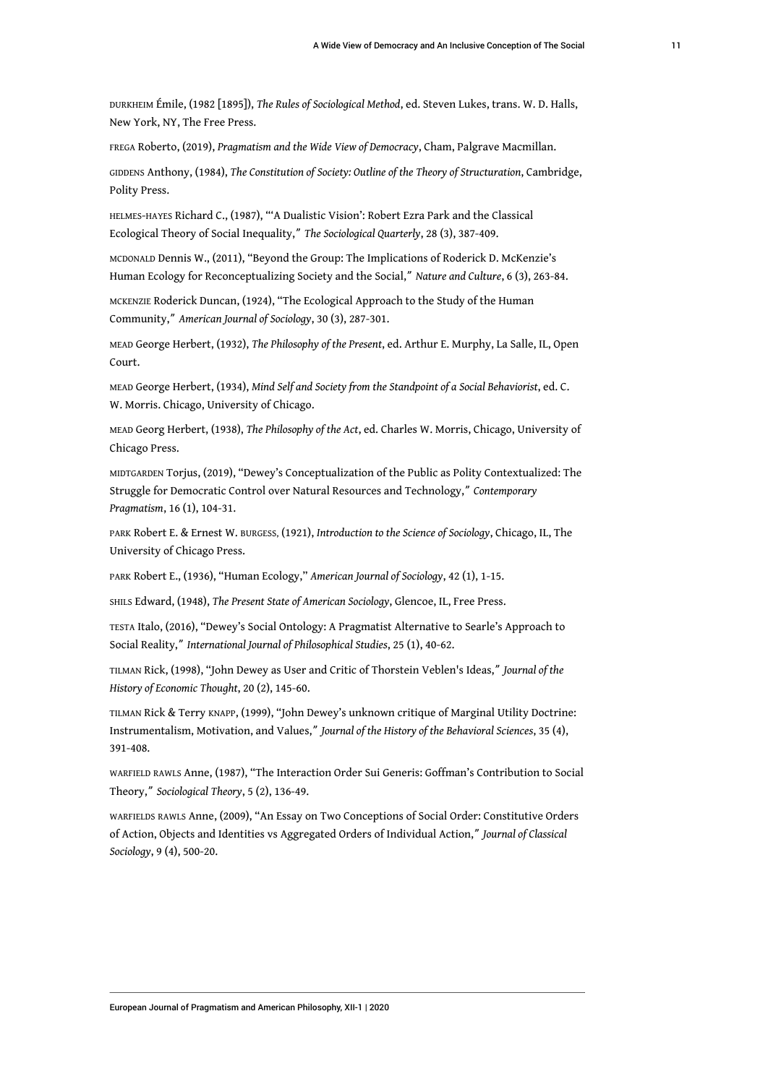DURKHEIM Émile, (1982 [1895]), *The Rules of Sociological Method*, ed. Steven Lukes, trans. W. D. Halls, New York, NY, The Free Press.

FREGA Roberto, (2019), *Pragmatism and the Wide View of Democracy*, Cham, Palgrave Macmillan.

GIDDENS Anthony, (1984), *The Constitution of Society: Outline of the Theory of Structuration*, Cambridge, Polity Press.

HELMES-HAYES Richard C., (1987), "'A Dualistic Vision': Robert Ezra Park and the Classical Ecological Theory of Social Inequality," The Sociological Quarterly, 28 (3), 387-409.

MCDONALD Dennis W., (2011), "Beyond the Group: The Implications of Roderick D. McKenzie's Human Ecology for Reconceptualizing Society and the Social," Nature and Culture, 6 (3), 263-84.

MCKENZIE Roderick Duncan, (1924), "The Ecological Approach to the Study of the Human Community,ˮ *American Journal of Sociology*, 30 (3), 287-301.

MEAD George Herbert, (1932), *The Philosophy of the Present*, ed. Arthur E. Murphy, La Salle, IL, Open Court.

MEAD George Herbert, (1934), *Mind Self and Society from the Standpoint of a Social Behaviorist*, ed. C. W. Morris. Chicago, University of Chicago.

MEAD Georg Herbert, (1938), *The Philosophy of the Act*, ed. Charles W. Morris, Chicago, University of Chicago Press.

MIDTGARDEN Torjus, (2019), "Dewey's Conceptualization of the Public as Polity Contextualized: The Struggle for Democratic Control over Natural Resources and Technology,ˮ *Contemporary Pragmatism*, 16 (1), 104-31.

PARK Robert E. & Ernest W. BURGESS, (1921), *Introduction to the Science of Sociology*, Chicago, IL, The University of Chicago Press.

PARK Robert E., (1936), "Human Ecology," *American Journal of Sociology*, 42 (1), 1-15.

SHILS Edward, (1948), *The Present State of American Sociology*, Glencoe, IL, Free Press.

TESTA Italo, (2016), "Dewey's Social Ontology: A Pragmatist Alternative to Searle's Approach to Social Reality,ˮ *International Journal of Philosophical Studies*, 25 (1), 40-62.

TILMAN Rick, (1998), "John Dewey as User and Critic of Thorstein Veblen's Ideas,ˮ *Journal of the History of Economic Thought*, 20 (2), 145-60.

TILMAN Rick & Terry KNAPP, (1999), "John Dewey's unknown critique of Marginal Utility Doctrine: Instrumentalism, Motivation, and Values,ˮ *Journal of the History of the Behavioral Sciences*, 35 (4), 391-408.

WARFIELD RAWLS Anne, (1987), "The Interaction Order Sui Generis: Goffman's Contribution to Social Theory,ˮ *Sociological Theory*, 5 (2), 136-49.

WARFIELDS RAWLS Anne, (2009), "An Essay on Two Conceptions of Social Order: Constitutive Orders of Action, Objects and Identities vs Aggregated Orders of Individual Action,ˮ *Journal of Classical Sociology*, 9 (4), 500-20.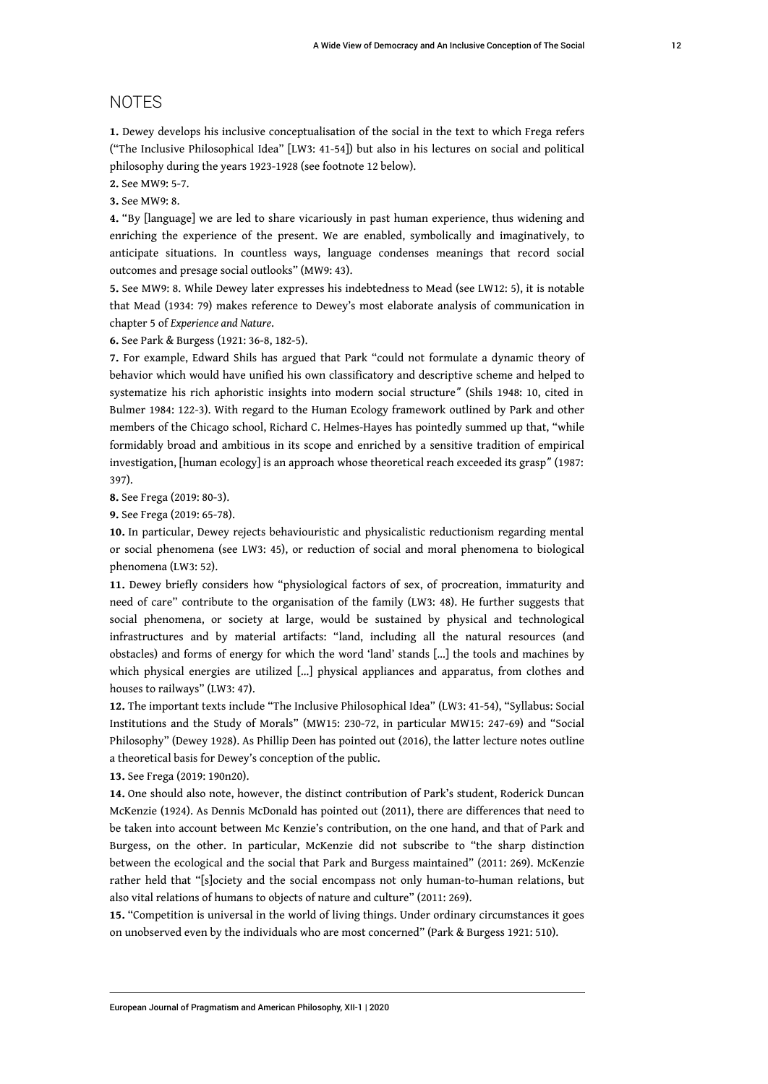### NOTES

**1.** Dewey develops his inclusive conceptualisation of the social in the text to which Frega refers ("The Inclusive Philosophical Idea" [LW3: 41-54]) but also in his lectures on social and political philosophy during the years 1923-1928 (see footnote 12 below).

**2.** See MW9: 5-7.

**3.** See MW9: 8.

**4.** "By [language] we are led to share vicariously in past human experience, thus widening and enriching the experience of the present. We are enabled, symbolically and imaginatively, to anticipate situations. In countless ways, language condenses meanings that record social outcomes and presage social outlooks" (MW9: 43).

**5.** See MW9: 8. While Dewey later expresses his indebtedness to Mead (see LW12: 5), it is notable that Mead (1934: 79) makes reference to Dewey's most elaborate analysis of communication in chapter 5 of *Experience and Nature*.

**6.** See Park & Burgess (1921: 36-8, 182-5).

**7.** For example, Edward Shils has argued that Park "could not formulate a dynamic theory of behavior which would have unified his own classificatory and descriptive scheme and helped to systematize his rich aphoristic insights into modern social structureˮ (Shils 1948: 10, cited in Bulmer 1984: 122-3). With regard to the Human Ecology framework outlined by Park and other members of the Chicago school, Richard C. Helmes-Hayes has pointedly summed up that, "while formidably broad and ambitious in its scope and enriched by a sensitive tradition of empirical investigation, [human ecology] is an approach whose theoretical reach exceeded its grasp" (1987: 397).

**8.** See Frega (2019: 80-3).

**9.** See Frega (2019: 65-78).

**10.** In particular, Dewey rejects behaviouristic and physicalistic reductionism regarding mental or social phenomena (see LW3: 45), or reduction of social and moral phenomena to biological phenomena (LW3: 52).

**11.** Dewey briefly considers how "physiological factors of sex, of procreation, immaturity and need of care" contribute to the organisation of the family (LW3: 48). He further suggests that social phenomena, or society at large, would be sustained by physical and technological infrastructures and by material artifacts: "land, including all the natural resources (and obstacles) and forms of energy for which the word 'land' stands […] the tools and machines by which physical energies are utilized […] physical appliances and apparatus, from clothes and houses to railways" (LW3: 47).

**12.** The important texts include "The Inclusive Philosophical Idea" (LW3: 41-54), "Syllabus: Social Institutions and the Study of Morals" (MW15: 230-72, in particular MW15: 247-69) and "Social Philosophy" (Dewey 1928). As Phillip Deen has pointed out (2016), the latter lecture notes outline a theoretical basis for Dewey's conception of the public.

**13.** See Frega (2019: 190n20).

**14.** One should also note, however, the distinct contribution of Park's student, Roderick Duncan McKenzie (1924). As Dennis McDonald has pointed out (2011), there are differences that need to be taken into account between Mc Kenzie's contribution, on the one hand, and that of Park and Burgess, on the other. In particular, McKenzie did not subscribe to "the sharp distinction between the ecological and the social that Park and Burgess maintained" (2011: 269). McKenzie rather held that "[s]ociety and the social encompass not only human-to-human relations, but also vital relations of humans to objects of nature and culture" (2011: 269).

**15.** "Competition is universal in the world of living things. Under ordinary circumstances it goes on unobserved even by the individuals who are most concerned" (Park & Burgess 1921: 510).